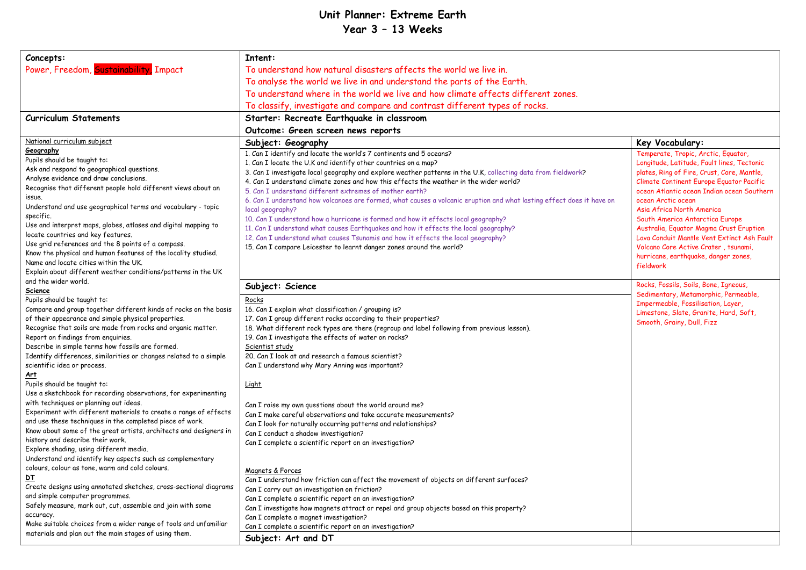## **Unit Planner: Extreme Earth Year 3 – 13 Weeks**

| Concepts:                                                                                        | Intent:                                                                                                               |                                                   |  |
|--------------------------------------------------------------------------------------------------|-----------------------------------------------------------------------------------------------------------------------|---------------------------------------------------|--|
|                                                                                                  |                                                                                                                       |                                                   |  |
| Power, Freedom, Sustainability, Impact                                                           | To understand how natural disasters affects the world we live in.                                                     |                                                   |  |
|                                                                                                  | To analyse the world we live in and understand the parts of the Earth.                                                |                                                   |  |
|                                                                                                  | To understand where in the world we live and how climate affects different zones.                                     |                                                   |  |
|                                                                                                  | To classify, investigate and compare and contrast different types of rocks.                                           |                                                   |  |
| <b>Curriculum Statements</b>                                                                     | Starter: Recreate Earthquake in classroom                                                                             |                                                   |  |
|                                                                                                  | Outcome: Green screen news reports                                                                                    |                                                   |  |
| National curriculum subject                                                                      | Subject: Geography                                                                                                    | Key Vocabulary:                                   |  |
| Geography                                                                                        | 1. Can I identify and locate the world's 7 continents and 5 oceans?                                                   | Temperate, Tropic, Arctic, Equator,               |  |
| Pupils should be taught to:                                                                      | 1. Can I locate the U.K and identify other countries on a map?                                                        | Longitude, Latitude, Fault lines, Tectonic        |  |
| Ask and respond to geographical questions.                                                       | 3. Can I investigate local geography and explore weather patterns in the U.K, collecting data from fieldwork?         | plates, Ring of Fire, Crust, Core, Mantle,        |  |
| Analyse evidence and draw conclusions.                                                           | 4. Can I understand climate zones and how this effects the weather in the wider world?                                | Climate Continent Europe Equator Pacific          |  |
| Recognise that different people hold different views about an<br>issue.                          | 5. Can I understand different extremes of mother earth?                                                               | ocean Atlantic ocean Indian ocean Southern        |  |
| Understand and use geographical terms and vocabulary - topic                                     | 6. Can I understand how volcanoes are formed, what causes a volcanic eruption and what lasting effect does it have on | ocean Arctic ocean                                |  |
| specific.                                                                                        | local geography?                                                                                                      | Asia Africa North America                         |  |
| Use and interpret maps, globes, atlases and digital mapping to                                   | 10. Can I understand how a hurricane is formed and how it effects local geography?                                    | South America Antarctica Europe                   |  |
| locate countries and key features.                                                               | 11. Can I understand what causes Earthquakes and how it effects the local geography?                                  | Australia, Equator Magma Crust Eruption           |  |
| Use grid references and the 8 points of a compass.                                               | 12. Can I understand what causes Tsunamis and how it effects the local geography?                                     | Lava Conduit Mantle Vent Extinct Ash Fault        |  |
| Know the physical and human features of the locality studied.                                    | 15. Can I compare Leicester to learnt danger zones around the world?                                                  | Volcano Core Active Crater, tsunami,              |  |
| Name and locate cities within the UK.                                                            |                                                                                                                       | hurricane, earthquake, danger zones,<br>fieldwork |  |
| Explain about different weather conditions/patterns in the UK                                    |                                                                                                                       |                                                   |  |
| and the wider world.                                                                             |                                                                                                                       | Rocks, Fossils, Soils, Bone, Igneous,             |  |
| <b>Science</b>                                                                                   | Subject: Science                                                                                                      | Sedimentary, Metamorphic, Permeable,              |  |
| Pupils should be taught to:                                                                      | Rocks                                                                                                                 | Impermeable, Fossilisation, Layer,                |  |
| Compare and group together different kinds of rocks on the basis                                 | 16. Can I explain what classification / grouping is?                                                                  | Limestone, Slate, Granite, Hard, Soft,            |  |
| of their appearance and simple physical properties.                                              | 17. Can I group different rocks according to their properties?                                                        | Smooth, Grainy, Dull, Fizz                        |  |
| Recognise that soils are made from rocks and organic matter.                                     | 18. What different rock types are there (regroup and label following from previous lesson).                           |                                                   |  |
| Report on findings from enquiries.                                                               | 19. Can I investigate the effects of water on rocks?                                                                  |                                                   |  |
| Describe in simple terms how fossils are formed.                                                 | Scientist study<br>20. Can I look at and research a famous scientist?                                                 |                                                   |  |
| Identify differences, similarities or changes related to a simple<br>scientific idea or process. | Can I understand why Mary Anning was important?                                                                       |                                                   |  |
|                                                                                                  |                                                                                                                       |                                                   |  |
| <u>Art</u><br>Pupils should be taught to:                                                        | Light                                                                                                                 |                                                   |  |
| Use a sketchbook for recording observations, for experimenting                                   |                                                                                                                       |                                                   |  |
| with techniques or planning out ideas.                                                           | Can I raise my own questions about the world around me?                                                               |                                                   |  |
| Experiment with different materials to create a range of effects                                 | Can I make careful observations and take accurate measurements?                                                       |                                                   |  |
| and use these techniques in the completed piece of work.                                         | Can I look for naturally occurring patterns and relationships?                                                        |                                                   |  |
| Know about some of the great artists, architects and designers in                                | Can I conduct a shadow investigation?                                                                                 |                                                   |  |
| history and describe their work.                                                                 | Can I complete a scientific report on an investigation?                                                               |                                                   |  |
| Explore shading, using different media.                                                          |                                                                                                                       |                                                   |  |
| Understand and identify key aspects such as complementary                                        |                                                                                                                       |                                                   |  |
| colours, colour as tone, warm and cold colours.                                                  | Magnets & Forces                                                                                                      |                                                   |  |
| <u>DT</u>                                                                                        | Can I understand how friction can affect the movement of objects on different surfaces?                               |                                                   |  |
| Create designs using annotated sketches, cross-sectional diagrams                                | Can I carry out an investigation on friction?                                                                         |                                                   |  |
| and simple computer programmes.                                                                  | Can I complete a scientific report on an investigation?                                                               |                                                   |  |
| Safely measure, mark out, cut, assemble and join with some                                       | Can I investigate how magnets attract or repel and group objects based on this property?                              |                                                   |  |
| accuracy.                                                                                        | Can I complete a magnet investigation?                                                                                |                                                   |  |
| Make suitable choices from a wider range of tools and unfamiliar                                 | Can I complete a scientific report on an investigation?                                                               |                                                   |  |
| materials and plan out the main stages of using them.                                            | Subject: Art and DT                                                                                                   |                                                   |  |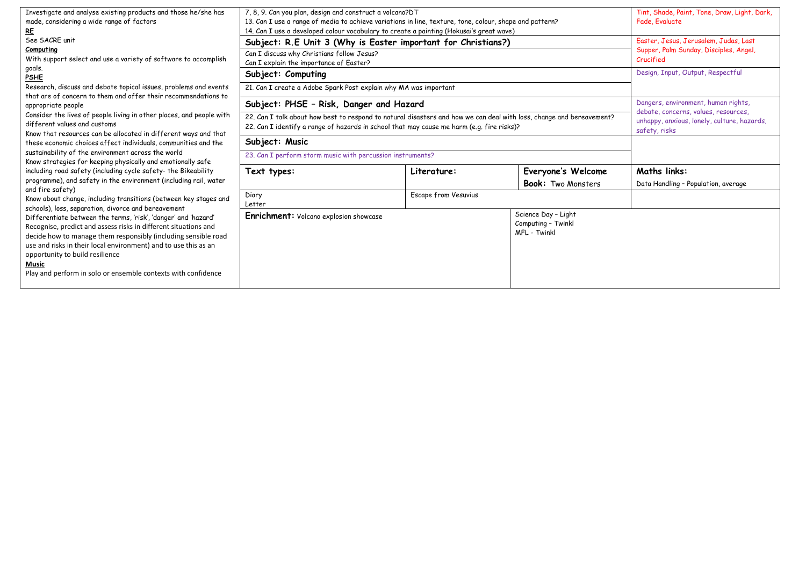| Investigate and analyse existing products and those he/she has<br>made, considering a wide range of factors<br><u>RE</u>                                                                                                                                                                                                                                                            | 7, 8, 9. Can you plan, design and construct a volcano?DT<br>13. Can I use a range of media to achieve variations in line, texture, tone, colour, shape and pattern?<br>14. Can I use a developed colour vocabulary to create a painting (Hokusai's great wave) |                      |                                                           | Tint, Shade, Paint, Tone, Draw, Light, Dark,<br>Fade, Evaluate                                                                              |
|-------------------------------------------------------------------------------------------------------------------------------------------------------------------------------------------------------------------------------------------------------------------------------------------------------------------------------------------------------------------------------------|----------------------------------------------------------------------------------------------------------------------------------------------------------------------------------------------------------------------------------------------------------------|----------------------|-----------------------------------------------------------|---------------------------------------------------------------------------------------------------------------------------------------------|
| See SACRE unit<br>Computing<br>With support select and use a variety of software to accomplish                                                                                                                                                                                                                                                                                      | Subject: R.E Unit 3 (Why is Easter important for Christians?)<br>Can I discuss why Christians follow Jesus?<br>Can I explain the importance of Easter?                                                                                                         |                      |                                                           | Easter, Jesus, Jerusalem, Judas, Last<br>Supper, Palm Sunday, Disciples, Angel,<br>Crucified                                                |
| goals.<br><b>PSHE</b><br>Research, discuss and debate topical issues, problems and events                                                                                                                                                                                                                                                                                           | Subject: Computing<br>21. Can I create a Adobe Spark Post explain why MA was important                                                                                                                                                                         |                      |                                                           | Design, Input, Output, Respectful                                                                                                           |
| that are of concern to them and offer their recommendations to<br>appropriate people<br>Consider the lives of people living in other places, and people with<br>different values and customs                                                                                                                                                                                        | Subject: PHSE - Risk, Danger and Hazard<br>22. Can I talk about how best to respond to natural disasters and how we can deal with loss, change and bereavement?<br>22. Can I identify a range of hazards in school that may cause me harm (e.g. fire risks)?   |                      |                                                           | Dangers, environment, human rights,<br>debate, concerns, values, resources,<br>unhappy, anxious, lonely, culture, hazards,<br>safety, risks |
| Know that resources can be allocated in different ways and that<br>these economic choices affect individuals, communities and the<br>sustainability of the environment across the world<br>Know strategies for keeping physically and emotionally safe                                                                                                                              | Subject: Music<br>23. Can I perform storm music with percussion instruments?                                                                                                                                                                                   |                      |                                                           |                                                                                                                                             |
| including road safety (including cycle safety- the Bikeability<br>programme), and safety in the environment (including rail, water<br>and fire safety)                                                                                                                                                                                                                              | Text types:                                                                                                                                                                                                                                                    | Literature:          | Everyone's Welcome<br><b>Book:</b> Two Monsters           | <b>Maths links:</b><br>Data Handling - Population, average                                                                                  |
| Know about change, including transitions (between key stages and<br>schools), loss, separation, divorce and bereavement                                                                                                                                                                                                                                                             | Diary<br>Letter                                                                                                                                                                                                                                                | Escape from Vesuvius |                                                           |                                                                                                                                             |
| Differentiate between the terms, 'risk', 'danger' and 'hazard'<br>Recognise, predict and assess risks in different situations and<br>decide how to manage them responsibly (including sensible road<br>use and risks in their local environment) and to use this as an<br>opportunity to build resilience<br>Music<br>Play and perform in solo or ensemble contexts with confidence | <b>Enrichment:</b> Volcano explosion showcase                                                                                                                                                                                                                  |                      | Science Day - Light<br>Computing - Twinkl<br>MFL - Twinkl |                                                                                                                                             |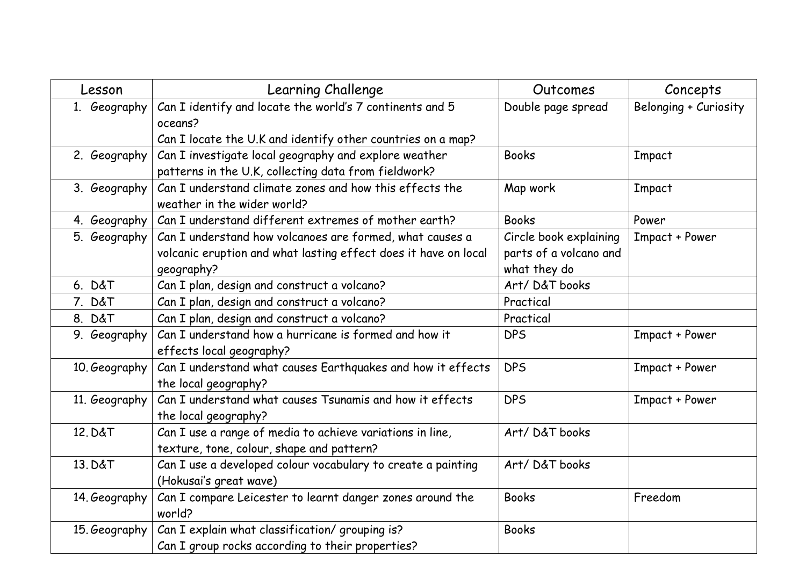| Lesson        | Learning Challenge                                                                                                                        | Outcomes                                                         | Concepts              |
|---------------|-------------------------------------------------------------------------------------------------------------------------------------------|------------------------------------------------------------------|-----------------------|
| 1. Geography  | Can I identify and locate the world's 7 continents and 5<br>oceans?                                                                       | Double page spread                                               | Belonging + Curiosity |
|               | Can I locate the U.K and identify other countries on a map?                                                                               |                                                                  |                       |
| 2. Geography  | Can I investigate local geography and explore weather<br>patterns in the U.K, collecting data from fieldwork?                             | <b>Books</b>                                                     | Impact                |
| 3. Geography  | Can I understand climate zones and how this effects the<br>weather in the wider world?                                                    | Map work                                                         | Impact                |
| 4. Geography  | Can I understand different extremes of mother earth?                                                                                      | <b>Books</b>                                                     | Power                 |
| 5. Geography  | Can I understand how volcanoes are formed, what causes a<br>volcanic eruption and what lasting effect does it have on local<br>geography? | Circle book explaining<br>parts of a volcano and<br>what they do | Impact + Power        |
| 6. D&T        | Can I plan, design and construct a volcano?                                                                                               | Art/D&T books                                                    |                       |
| 7. D&T        | Can I plan, design and construct a volcano?                                                                                               | Practical                                                        |                       |
| 8. D&T        | Can I plan, design and construct a volcano?                                                                                               | Practical                                                        |                       |
| 9. Geography  | Can I understand how a hurricane is formed and how it<br>effects local geography?                                                         | <b>DPS</b>                                                       | Impact + Power        |
| 10. Geography | Can I understand what causes Earthquakes and how it effects<br>the local geography?                                                       | <b>DPS</b>                                                       | Impact + Power        |
| 11. Geography | Can I understand what causes Tsunamis and how it effects<br>the local geography?                                                          | <b>DPS</b>                                                       | Impact + Power        |
| 12. D&T       | Can I use a range of media to achieve variations in line,<br>texture, tone, colour, shape and pattern?                                    | Art/D&T books                                                    |                       |
| 13. D&T       | Can I use a developed colour vocabulary to create a painting<br>(Hokusai's great wave)                                                    | Art/D&T books                                                    |                       |
| 14. Geography | Can I compare Leicester to learnt danger zones around the<br>world?                                                                       | <b>Books</b>                                                     | Freedom               |
| 15. Geography | Can I explain what classification/ grouping is?<br>Can I group rocks according to their properties?                                       | <b>Books</b>                                                     |                       |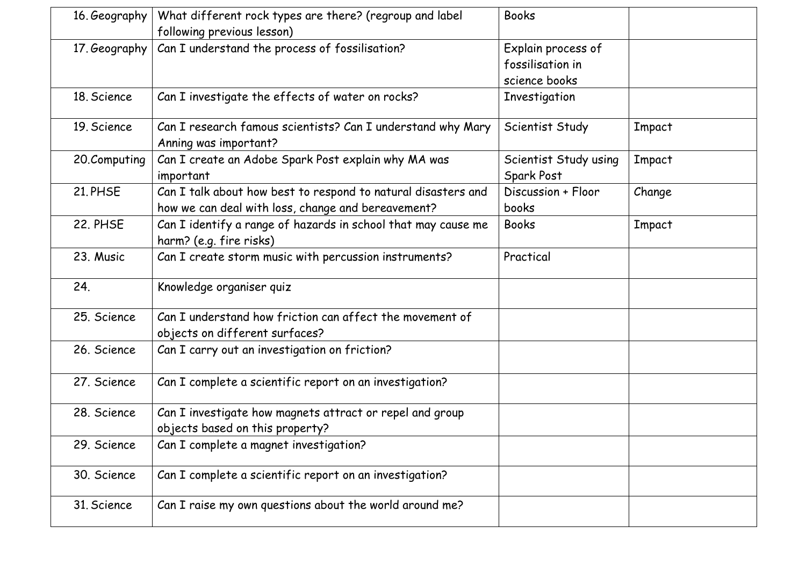| 16. Geography | What different rock types are there? (regroup and label       | <b>Books</b>          |        |
|---------------|---------------------------------------------------------------|-----------------------|--------|
|               | following previous lesson)                                    |                       |        |
| 17. Geography | Can I understand the process of fossilisation?                | Explain process of    |        |
|               |                                                               | fossilisation in      |        |
|               |                                                               | science books         |        |
| 18. Science   | Can I investigate the effects of water on rocks?              | Investigation         |        |
| 19. Science   | Can I research famous scientists? Can I understand why Mary   | Scientist Study       | Impact |
|               | Anning was important?                                         |                       |        |
| 20.Computing  | Can I create an Adobe Spark Post explain why MA was           | Scientist Study using | Impact |
|               | important                                                     | Spark Post            |        |
| 21. PHSE      | Can I talk about how best to respond to natural disasters and | Discussion + Floor    | Change |
|               | how we can deal with loss, change and bereavement?            | books                 |        |
| 22. PHSE      | Can I identify a range of hazards in school that may cause me | <b>Books</b>          | Impact |
|               | harm? (e.g. fire risks)                                       |                       |        |
| 23. Music     | Can I create storm music with percussion instruments?         | Practical             |        |
| 24.           | Knowledge organiser quiz                                      |                       |        |
| 25. Science   | Can I understand how friction can affect the movement of      |                       |        |
|               | objects on different surfaces?                                |                       |        |
| 26. Science   | Can I carry out an investigation on friction?                 |                       |        |
|               |                                                               |                       |        |
| 27. Science   | Can I complete a scientific report on an investigation?       |                       |        |
| 28. Science   | Can I investigate how magnets attract or repel and group      |                       |        |
|               | objects based on this property?                               |                       |        |
| 29. Science   | Can I complete a magnet investigation?                        |                       |        |
| 30. Science   | Can I complete a scientific report on an investigation?       |                       |        |
| 31. Science   | Can I raise my own questions about the world around me?       |                       |        |